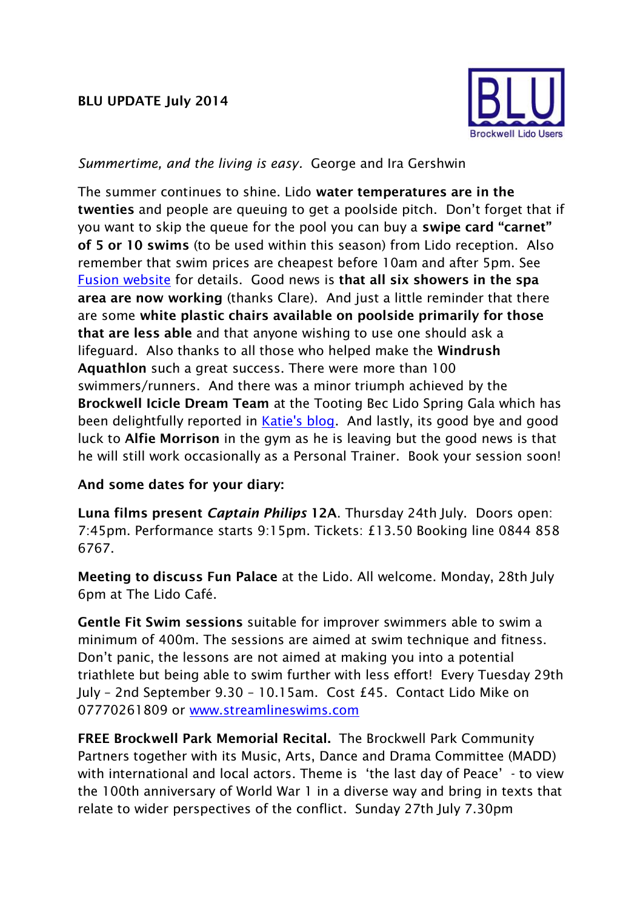## **BLU UPDATE July 2014**



## *Summertime, and the living is easy.* George and Ira Gershwin

The summer continues to shine. Lido **water temperatures are in the twenties** and people are queuing to get a poolside pitch. Don't forget that if you want to skip the queue for the pool you can buy a **swipe card "carnet" of 5 or 10 swims** (to be used within this season) from Lido reception. Also remember that swim prices are cheapest before 10am and after 5pm. See [Fusion website](http://www.fusion-lifestyle.com/centres/Brockwell_Lido) for details. Good news is **that all six showers in the spa area are now working** (thanks Clare). And just a little reminder that there are some **white plastic chairs available on poolside primarily for those that are less able** and that anyone wishing to use one should ask a lifeguard. Also thanks to all those who helped make the **Windrush Aquathlon** such a great success. There were more than 100 swimmers/runners. And there was a minor triumph achieved by the **Brockwell Icicle Dream Team** at the Tooting Bec Lido Spring Gala which has been delightfully reported in [Katie's blog.](http://www.entirelysurroundedbywater.blogspot.co.uk/2014/06/tooting-midsummer-relays.html) And lastly, its good bye and good luck to **Alfie Morrison** in the gym as he is leaving but the good news is that he will still work occasionally as a Personal Trainer. Book your session soon!

## **And some dates for your diary:**

**Luna films present** *Captain Philips* **12A**. Thursday 24th July. Doors open: 7:45pm. Performance starts 9:15pm. Tickets: £13.50 Booking line 0844 858 6767.

**Meeting to discuss Fun Palace** at the Lido. All welcome. Monday, 28th July 6pm at The Lido Café.

**Gentle Fit Swim sessions** suitable for improver swimmers able to swim a minimum of 400m. The sessions are aimed at swim technique and fitness. Don't panic, the lessons are not aimed at making you into a potential triathlete but being able to swim further with less effort! Every Tuesday 29th July – 2nd September 9.30 – 10.15am. Cost £45. Contact Lido Mike on 07770261809 or [www.streamlineswims.com](http://www.streamlineswims.com/)

**FREE Brockwell Park Memorial Recital.** The Brockwell Park Community Partners together with its Music, Arts, Dance and Drama Committee (MADD) with international and local actors. Theme is 'the last day of Peace' - to view the 100th anniversary of World War 1 in a diverse way and bring in texts that relate to wider perspectives of the conflict. Sunday 27th July 7.30pm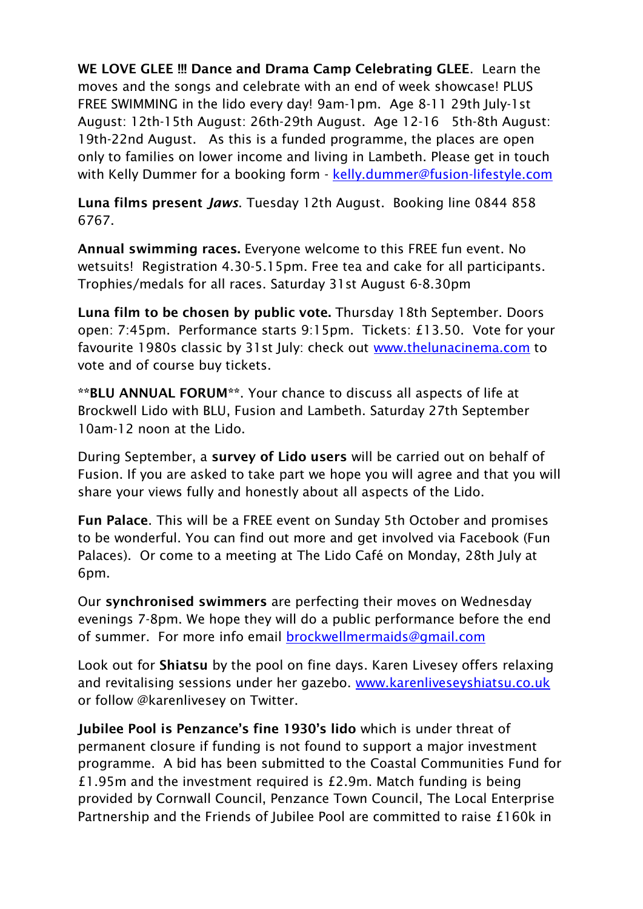**WE LOVE GLEE !!! Dance and Drama Camp Celebrating GLEE**. Learn the moves and the songs and celebrate with an end of week showcase! PLUS FREE SWIMMING in the lido every day! 9am-1pm. Age 8-11 29th July-1st August: 12th-15th August: 26th-29th August. Age 12-16 5th-8th August: 19th-22nd August. As this is a funded programme, the places are open only to families on lower income and living in Lambeth. Please get in touch with Kelly Dummer for a booking form - [kelly.dummer@fusion-lifestyle.com](mailto:kelly.dummer@fusion-lifestyle.com)

**Luna films present** *Jaws*. Tuesday 12th August. Booking line 0844 858 6767.

**Annual swimming races.** Everyone welcome to this FREE fun event. No wetsuits! Registration 4.30-5.15pm. Free tea and cake for all participants. Trophies/medals for all races. Saturday 31st August 6-8.30pm

**Luna film to be chosen by public vote.** Thursday 18th September. Doors open: 7:45pm. Performance starts 9:15pm. Tickets: £13.50. Vote for your favourite 1980s classic by 31st July: check out [www.thelunacinema.com](http://www.thelunacinema.com/) to vote and of course buy tickets.

**\*\*BLU ANNUAL FORUM\*\***. Your chance to discuss all aspects of life at Brockwell Lido with BLU, Fusion and Lambeth. Saturday 27th September 10am-12 noon at the Lido.

During September, a **survey of Lido users** will be carried out on behalf of Fusion. If you are asked to take part we hope you will agree and that you will share your views fully and honestly about all aspects of the Lido.

**Fun Palace**. This will be a FREE event on Sunday 5th October and promises to be wonderful. You can find out more and get involved via Facebook (Fun Palaces). Or come to a meeting at The Lido Café on Monday, 28th July at 6pm.

Our **synchronised swimmers** are perfecting their moves on Wednesday evenings 7-8pm. We hope they will do a public performance before the end of summer. For more info email [brockwellmermaids@gmail.com](mailto:brockwellmermaids@gmail.com)

Look out for **Shiatsu** by the pool on fine days. Karen Livesey offers relaxing and revitalising sessions under her gazebo. [www.karenliveseyshiatsu.co.uk](http://www.karenliveseyshiatsu.co.uk/) or follow @karenlivesey on Twitter.

**Jubilee Pool is Penzance's fine 1930's lido** which is under threat of permanent closure if funding is not found to support a major investment programme. A bid has been submitted to the Coastal Communities Fund for £1.95m and the investment required is £2.9m. Match funding is being provided by Cornwall Council, Penzance Town Council, The Local Enterprise Partnership and the Friends of Jubilee Pool are committed to raise £160k in